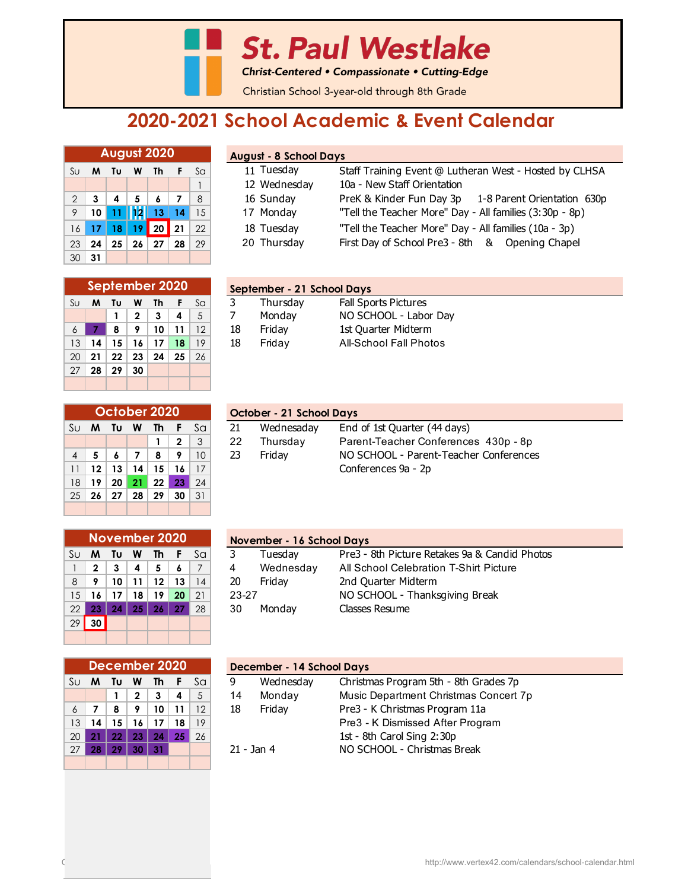**St. Paul Westlake** 

Christ-Centered • Compassionate • Cutting-Edge

Christian School 3-year-old through 8th Grade

## **2020-2021 School Academic & Event Calendar**

|                | <b>August 2020</b> |               |                 |                      |     |    |  |  |  |  |  |
|----------------|--------------------|---------------|-----------------|----------------------|-----|----|--|--|--|--|--|
| SU             | M                  | Τυ<br>Th<br>W |                 |                      | - F | Sa |  |  |  |  |  |
|                |                    |               |                 |                      |     | 1  |  |  |  |  |  |
| $\overline{2}$ | 3                  | 4             | 5               | 6                    | 7   | 8  |  |  |  |  |  |
| 9              | 10                 | 11            | 12 <sup>1</sup> | 13 <sub>1</sub>      | 14  | 15 |  |  |  |  |  |
| 16             | 17                 | 18            | 19              | 20                   | 21  | 22 |  |  |  |  |  |
| 23             | 24                 | 25            |                 | $26 \mid 27 \mid 28$ |     | 29 |  |  |  |  |  |
| 30             | 31                 |               |                 |                      |     |    |  |  |  |  |  |

|    | September 2020 |         |              |    |    |    |  |  |  |  |  |
|----|----------------|---------|--------------|----|----|----|--|--|--|--|--|
| Su | м              | Tυ      | w            | Th | F  | Sa |  |  |  |  |  |
|    |                | 1       | $\mathbf{2}$ | 3  | 4  | 5  |  |  |  |  |  |
| 6  |                | 8       | 9            | 10 | 11 | 12 |  |  |  |  |  |
| 13 | 14             | 15      | 16           | 17 | 18 | 19 |  |  |  |  |  |
| 20 | 21             | $22 \,$ | 23           | 24 | 25 | 26 |  |  |  |  |  |
| 27 | 28             | 29      | 30           |    |    |    |  |  |  |  |  |
|    |                |         |              |    |    |    |  |  |  |  |  |

| <b>August - 8 School Days</b> |  |
|-------------------------------|--|
|-------------------------------|--|

| Su <b>M</b>                    | Tυ             | W  | Th |               | Sa                | 11 Tuesday   | Staff Training Event @ Lutheran West - Hosted by CLHSA  |  |  |  |  |  |
|--------------------------------|----------------|----|----|---------------|-------------------|--------------|---------------------------------------------------------|--|--|--|--|--|
|                                |                |    |    |               |                   | 12 Wednesday | 10a - New Staff Orientation                             |  |  |  |  |  |
| 2 <sup>1</sup><br>$\mathbf{3}$ | $\overline{4}$ | 5  |    |               | 8                 | 16 Sunday    | PreK & Kinder Fun Day 3p 1-8 Parent Orientation 630p    |  |  |  |  |  |
|                                |                |    |    |               | 15                | 17 Monday    | "Tell the Teacher More" Day - All families (3:30p - 8p) |  |  |  |  |  |
|                                |                |    |    |               | 22 <sub>1</sub>   | 18 Tuesday   | "Tell the Teacher More" Day - All families (10a - 3p)   |  |  |  |  |  |
| $23 \mid 24$                   | 25             | 26 | 27 | 28            | 29                | 20 Thursday  | First Day of School Pre3 - 8th & Opening Chapel         |  |  |  |  |  |
|                                |                |    |    | 9 10 11 12 13 | 16 17 18 19 20 21 | 14           |                                                         |  |  |  |  |  |

|                | September 2020 |     |                |    |                 |           |    | September - 21 School Days |                             |  |  |  |  |
|----------------|----------------|-----|----------------|----|-----------------|-----------|----|----------------------------|-----------------------------|--|--|--|--|
| Su             | M              | Τu  | W              | Th |                 | Sa        |    | Thursday                   | <b>Fall Sports Pictures</b> |  |  |  |  |
|                |                |     |                |    | 4               | 5         |    | Monday                     | NO SCHOOL - Labor Day       |  |  |  |  |
| 6 <sup>1</sup> |                |     |                |    | 10   11         |           | 18 | Fridav                     | 1st Quarter Midterm         |  |  |  |  |
| 13             | 14             | 15  |                |    | 18 <sup>1</sup> | 19        | 18 | Fridav                     | All-School Fall Photos      |  |  |  |  |
|                | റ∩ ! പെ        | nn. | n <sub>2</sub> |    |                 | $\bigcap$ |    |                            |                             |  |  |  |  |

|                | October 2020                  |    |    |     |              |    |  |  |  |  |  |
|----------------|-------------------------------|----|----|-----|--------------|----|--|--|--|--|--|
| Su             | F<br>Sa<br>Th<br>M<br>Τυ<br>W |    |    |     |              |    |  |  |  |  |  |
|                |                               |    |    | 1   | $\mathbf{2}$ | 3  |  |  |  |  |  |
| $\overline{4}$ | 5                             | 6  | 7  | 8   | 9            | 10 |  |  |  |  |  |
| 11             | 12                            | 13 | 14 | 15  | 16           | 17 |  |  |  |  |  |
| 18             | 19                            | 20 | 21 | 22  | 23           | 24 |  |  |  |  |  |
| 25             | 26                            | 27 | 28 | -29 | 30           | 31 |  |  |  |  |  |
|                |                               |    |    |     |              |    |  |  |  |  |  |

| October 2020 |    |    |                 |                 |                           |    | October - 21 School Days                         |                              |  |  |  |  |
|--------------|----|----|-----------------|-----------------|---------------------------|----|--------------------------------------------------|------------------------------|--|--|--|--|
|              |    |    |                 |                 | Su <b>M Tu W Th F</b> Sal | 21 | Wednesaday                                       | End of 1st Quarter (44 days) |  |  |  |  |
|              |    |    |                 | $1 \mid 2 \mid$ | $\vert 3 \vert$           | 22 | Parent-Teacher Conferences 430p - 8p<br>Thursday |                              |  |  |  |  |
| $4 \mid 5$   |    |    | -8              | $\bullet$       | 10 <sup>°</sup>           | 23 | NO SCHOOL - Parent-Teacher Conferences<br>Fridav |                              |  |  |  |  |
| $11$   12    | 13 | 14 | 15 <sup>1</sup> |                 |                           |    |                                                  | Conferences 9a - 2p          |  |  |  |  |
|              |    |    |                 |                 |                           |    |                                                  |                              |  |  |  |  |

|    | <b>November 2020</b> |    |    |    |    |    |  |  |  |  |  |
|----|----------------------|----|----|----|----|----|--|--|--|--|--|
| Su | м                    | Tυ | W  | Th | F  | Sa |  |  |  |  |  |
|    | $\mathbf{2}$         | 3  | 4  | 5  | 6  | 7  |  |  |  |  |  |
| 8  | 9                    | 10 | 11 | 12 | 13 | 14 |  |  |  |  |  |
| 15 | 16                   | 17 | 18 | 19 | 20 | 21 |  |  |  |  |  |
| 22 | 23                   | 24 | 25 | 26 | 27 | 28 |  |  |  |  |  |
| 29 | 30                   |    |    |    |    |    |  |  |  |  |  |
|    |                      |    |    |    |    |    |  |  |  |  |  |

|    | December 2020 |    |              |    |    |    |  |  |  |  |  |
|----|---------------|----|--------------|----|----|----|--|--|--|--|--|
| Su | M             | Tυ | W            | Th | F  | Sa |  |  |  |  |  |
|    |               | 1  | $\mathbf{2}$ | 3  | 4  | 5  |  |  |  |  |  |
| 6  | 7             | 8  | 9            | 10 | 11 | 12 |  |  |  |  |  |
| 13 | 14            | 15 | 16           | 17 | 18 | 19 |  |  |  |  |  |
| 20 | 21            | 22 | 23           | 24 | 25 | 26 |  |  |  |  |  |
| 27 | 28            | 29 | 30           | 31 |    |    |  |  |  |  |  |
|    |               |    |              |    |    |    |  |  |  |  |  |

|    | November 2020       |      |                  |                 |     |    |       | November - 16 School Days |                                               |  |  |  |
|----|---------------------|------|------------------|-----------------|-----|----|-------|---------------------------|-----------------------------------------------|--|--|--|
|    | Su Mi               | - Tu | <b>W</b>         | - Th            |     | Sa |       | Tuesdav                   | Pre3 - 8th Picture Retakes 9a & Candid Photos |  |  |  |
|    | $\mathbf{2}$        | 3    | $\boldsymbol{A}$ | 5               |     |    | 4     | Wednesday                 | All School Celebration T-Shirt Picture        |  |  |  |
| 8  | $\bullet$           | 10   | 11               | 12              | 13  | 14 | 20    | Fridav                    | 2nd Quarter Midterm                           |  |  |  |
| 15 |                     | 17   | 18               | 19              | 20  | 21 | 23-27 |                           | NO SCHOOL - Thanksgiving Break                |  |  |  |
| 22 | 23                  | 24   | 25 <sup>1</sup>  | 26 <sub>k</sub> | -27 | 28 | 30    | Mondav                    | Classes Resume                                |  |  |  |
|    | $\infty$   $\infty$ |      |                  |                 |     |    |       |                           |                                               |  |  |  |

|                 | December 2020 |    |    |    |    |                |                | December - 14 School Days             |  |  |  |  |
|-----------------|---------------|----|----|----|----|----------------|----------------|---------------------------------------|--|--|--|--|
| Sul             | M             | Τυ | W  | Th |    | Sa             | Wednesday<br>9 | Christmas Program 5th - 8th Grades 7p |  |  |  |  |
|                 |               |    | 2  | 3  | 4  | 5 <sup>5</sup> | Monday<br>14   | Music Department Christmas Concert 7p |  |  |  |  |
| 6               |               | 8  |    | 10 | 11 | 12             | Friday<br>18   | Pre3 - K Christmas Program 11a        |  |  |  |  |
| 13              | 14            | 15 | 16 |    | 18 | 19             |                | Pre3 - K Dismissed After Program      |  |  |  |  |
| 20              | O.            | 22 | 23 | 24 | 25 | 26             |                | 1st - 8th Carol Sing 2:30p            |  |  |  |  |
| 27 <sup>1</sup> | 28            | 29 | 30 | 31 |    |                | $21 -$ Jan 4   | NO SCHOOL - Christmas Break           |  |  |  |  |
|                 |               |    |    |    |    |                |                |                                       |  |  |  |  |